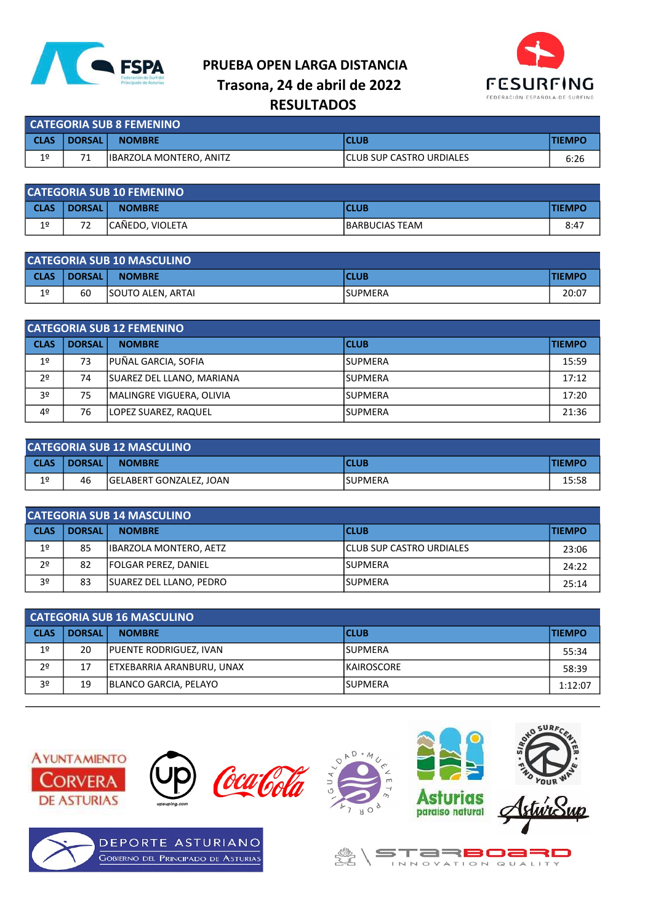

## PRUEBA OPEN LARGA DISTANCIA Trasona, 24 de abril de 2022 **RESULTADOS**



| <b>CATEGORIA SUB 8 FEMENINO</b> |               |                                               |                           |      |  |  |
|---------------------------------|---------------|-----------------------------------------------|---------------------------|------|--|--|
| l CLAS                          | <b>DORSAL</b> | <b>TIEMPC</b><br><b>NOMBRE</b><br><b>CLUB</b> |                           |      |  |  |
| 1 <sup>°</sup>                  |               | <b>IBARZOLA MONTERO, ANITZ</b>                | ICLUB SUP CASTRO URDIALES | 6:26 |  |  |

| <b>CATEGORIA SUB 10 FEMENINO</b> |                  |                                               |                 |      |  |  |
|----------------------------------|------------------|-----------------------------------------------|-----------------|------|--|--|
| <b>CLAS</b>                      | <b>DORSAL</b>    | <b>TIEMPO</b><br><b>CLUB</b><br><b>NOMBRE</b> |                 |      |  |  |
| 1 <sup>°</sup>                   | $7^{\circ}$<br>- | CAÑEDO, VIOLETA                               | IBARBUCIAS TEAM | 8:47 |  |  |

| <b>CATEGORIA SUB 10 MASCULINO</b> |               |                                               |                 |       |  |  |
|-----------------------------------|---------------|-----------------------------------------------|-----------------|-------|--|--|
| <b>CLAS</b>                       | <b>DORSAL</b> | <b>TIEMPO</b><br><b>CLUB</b><br><b>NOMBRE</b> |                 |       |  |  |
| 1 <sup>°</sup>                    | 60            | <b>ISOUTO ALEN, ARTAI</b>                     | <b>ISUPMERA</b> | 20:07 |  |  |

| <b>CATEGORIA SUB 12 FEMENINO</b> |               |                           |             |               |  |  |
|----------------------------------|---------------|---------------------------|-------------|---------------|--|--|
| <b>CLAS</b>                      | <b>DORSAL</b> | <b>NOMBRE</b>             | <b>CLUB</b> | <b>TIEMPO</b> |  |  |
| 1 <sup>°</sup>                   | 73            | PUÑAL GARCIA, SOFIA       | ISUPMERA    | 15:59         |  |  |
| 2 <sup>o</sup>                   | 74            | SUAREZ DEL LLANO, MARIANA | ISUPMERA    | 17:12         |  |  |
| 3 <sup>o</sup>                   | 75            | MALINGRE VIGUERA, OLIVIA  | ISUPMERA    | 17:20         |  |  |
| 4 <sup>°</sup>                   | 76            | LOPEZ SUAREZ, RAQUEL      | ISUPMERA    | 21:36         |  |  |

| <b>CATEGORIA SUB 12 MASCULINO</b> |               |                                               |          |       |  |  |
|-----------------------------------|---------------|-----------------------------------------------|----------|-------|--|--|
| <b>CLAS</b>                       | <b>DORSAL</b> | <b>TIEMPO</b><br><b>NOMBRE</b><br><b>CLUB</b> |          |       |  |  |
| 1 <sup>°</sup>                    | 46            | <b>GELABERT GONZALEZ, JOAN</b>                | lSUPMERA | 15:58 |  |  |

| <b>CATEGORIA SUB 14 MASCULINO</b> |               |                                               |                           |       |  |  |
|-----------------------------------|---------------|-----------------------------------------------|---------------------------|-------|--|--|
| <b>CLAS</b>                       | <b>DORSAL</b> | <b>CLUB</b><br><b>TIEMPO</b><br><b>NOMBRE</b> |                           |       |  |  |
| 1 <sup>°</sup>                    | 85            | <b>IBARZOLA MONTERO, AETZ</b>                 | ICLUB SUP CASTRO URDIALES | 23:06 |  |  |
| 2 <sup>0</sup>                    | 82            | <b>FOLGAR PEREZ, DANIEL</b>                   | ISUPMERA                  | 24:22 |  |  |
| 3º                                | 83            | SUAREZ DEL LLANO, PEDRO                       | lSUPMERA                  | 25:14 |  |  |

| <b>CATEGORIA SUB 16 MASCULINO</b> |               |                               |             |         |  |  |
|-----------------------------------|---------------|-------------------------------|-------------|---------|--|--|
| <b>CLAS</b>                       | <b>DORSAL</b> | <b>CLUB</b><br><b>NOMBRE</b>  |             |         |  |  |
| 1 <sup>°</sup>                    | 20            | <b>PUENTE RODRIGUEZ, IVAN</b> | lSUPMERA    | 55:34   |  |  |
| 2 <sup>o</sup>                    | 17            | ETXEBARRIA ARANBURU, UNAX     | IKAIROSCORE | 58:39   |  |  |
| 3º                                | 19            | BLANCO GARCIA, PELAYO         | ISUPMERA    | 1:12:07 |  |  |